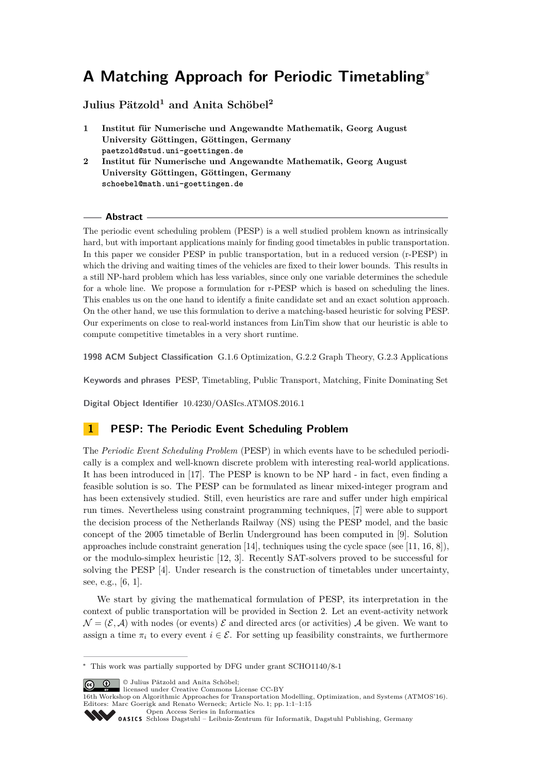# **A Matching Approach for Periodic Timetabling**<sup>∗</sup>

# **Julius Pätzold<sup>1</sup> and Anita Schöbel<sup>2</sup>**

- **1 Institut für Numerische und Angewandte Mathematik, Georg August University Göttingen, Göttingen, Germany paetzold@stud.uni-goettingen.de**
- **2 Institut für Numerische und Angewandte Mathematik, Georg August University Göttingen, Göttingen, Germany schoebel@math.uni-goettingen.de**

## **Abstract**

The periodic event scheduling problem (PESP) is a well studied problem known as intrinsically hard, but with important applications mainly for finding good timetables in public transportation. In this paper we consider PESP in public transportation, but in a reduced version (r-PESP) in which the driving and waiting times of the vehicles are fixed to their lower bounds. This results in a still NP-hard problem which has less variables, since only one variable determines the schedule for a whole line. We propose a formulation for r-PESP which is based on scheduling the lines. This enables us on the one hand to identify a finite candidate set and an exact solution approach. On the other hand, we use this formulation to derive a matching-based heuristic for solving PESP. Our experiments on close to real-world instances from LinTim show that our heuristic is able to compute competitive timetables in a very short runtime.

**1998 ACM Subject Classification** G.1.6 Optimization, G.2.2 Graph Theory, G.2.3 Applications

**Keywords and phrases** PESP, Timetabling, Public Transport, Matching, Finite Dominating Set

**Digital Object Identifier** [10.4230/OASIcs.ATMOS.2016.1](http://dx.doi.org/10.4230/OASIcs.ATMOS.2016.1)

# **1 PESP: The Periodic Event Scheduling Problem**

The *Periodic Event Scheduling Problem* (PESP) in which events have to be scheduled periodically is a complex and well-known discrete problem with interesting real-world applications. It has been introduced in [\[17\]](#page-13-0). The PESP is known to be NP hard - in fact, even finding a feasible solution is so. The PESP can be formulated as linear mixed-integer program and has been extensively studied. Still, even heuristics are rare and suffer under high empirical run times. Nevertheless using constraint programming techniques, [\[7\]](#page-13-1) were able to support the decision process of the Netherlands Railway (NS) using the PESP model, and the basic concept of the 2005 timetable of Berlin Underground has been computed in [\[9\]](#page-13-2). Solution approaches include constraint generation [\[14\]](#page-13-3), techniques using the cycle space (see [\[11,](#page-13-4) [16,](#page-13-5) [8\]](#page-13-6)), or the modulo-simplex heuristic [\[12,](#page-13-7) [3\]](#page-12-0). Recently SAT-solvers proved to be successful for solving the PESP [\[4\]](#page-12-1). Under research is the construction of timetables under uncertainty, see, e.g., [\[6,](#page-12-2) [1\]](#page-12-3).

We start by giving the mathematical formulation of PESP, its interpretation in the context of public transportation will be provided in Section [2.](#page-1-0) Let an event-activity network  $\mathcal{N} = (\mathcal{E}, \mathcal{A})$  with nodes (or events)  $\mathcal{E}$  and directed arcs (or activities)  $\mathcal{A}$  be given. We want to assign a time  $\pi_i$  to every event  $i \in \mathcal{E}$ . For setting up feasibility constraints, we furthermore

© Julius Pätzold and Anita Schöbel; licensed under Creative Commons License CC-BY

[Open Access Series in Informatics](http://www.dagstuhl.de/oasics/)

<sup>∗</sup> This work was partially supported by DFG under grant SCHO1140/8-1

<sup>16</sup>th Workshop on Algorithmic Approaches for Transportation Modelling, Optimization, and Systems (ATMOS'16). Editors: Marc Goerigk and Renato Werneck; Article No. 1; pp. 1:1–1[:15](#page-14-0)

[Schloss Dagstuhl – Leibniz-Zentrum für Informatik, Dagstuhl Publishing, Germany](http://www.dagstuhl.de)<br>
1995 – Cassic Schloss Dagstuhl – Leibniz-Zentrum für Informatik, Dagstuhl Publishing, Germany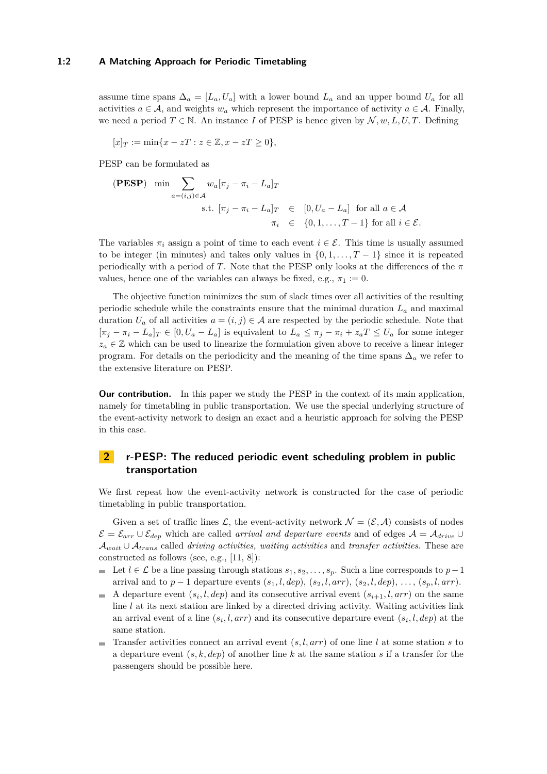### **1:2 A Matching Approach for Periodic Timetabling**

assume time spans  $\Delta_a = [L_a, U_a]$  with a lower bound  $L_a$  and an upper bound  $U_a$  for all activities  $a \in \mathcal{A}$ , and weights  $w_a$  which represent the importance of activity  $a \in \mathcal{A}$ . Finally, we need a period  $T \in \mathbb{N}$ . An instance *I* of PESP is hence given by  $\mathcal{N}, w, L, U, T$ . Defining

 $[x]_T := \min\{x - zT : z \in \mathbb{Z}, x - zT \geq 0\},\$ 

PESP can be formulated as

(PESP) 
$$
\min \sum_{a=(i,j)\in A} w_a[\pi_j - \pi_i - L_a]_T
$$

\ns.t.  $[\pi_j - \pi_i - L_a]_T \in [0, U_a - L_a]$  for all  $a \in A$ 

\n $\pi_i \in \{0, 1, \ldots, T-1\}$  for all  $i \in \mathcal{E}$ .

The variables  $\pi_i$  assign a point of time to each event  $i \in \mathcal{E}$ . This time is usually assumed to be integer (in minutes) and takes only values in  $\{0, 1, \ldots, T-1\}$  since it is repeated periodically with a period of *T*. Note that the PESP only looks at the differences of the *π* values, hence one of the variables can always be fixed, e.g.,  $\pi_1 := 0$ .

The objective function minimizes the sum of slack times over all activities of the resulting periodic schedule while the constraints ensure that the minimal duration *L<sup>a</sup>* and maximal duration  $U_a$  of all activities  $a = (i, j) \in \mathcal{A}$  are respected by the periodic schedule. Note that  $[\pi_j - \pi_i - L_a]_T \in [0, U_a - L_a]$  is equivalent to  $L_a \leq \pi_j - \pi_i + z_a T \leq U_a$  for some integer  $z_a \in \mathbb{Z}$  which can be used to linearize the formulation given above to receive a linear integer program. For details on the periodicity and the meaning of the time spans  $\Delta_a$  we refer to the extensive literature on PESP.

**Our contribution.** In this paper we study the PESP in the context of its main application, namely for timetabling in public transportation. We use the special underlying structure of the event-activity network to design an exact and a heuristic approach for solving the PESP in this case.

# <span id="page-1-0"></span>**2 r-PESP: The reduced periodic event scheduling problem in public transportation**

We first repeat how the event-activity network is constructed for the case of periodic timetabling in public transportation.

Given a set of traffic lines  $\mathcal{L}$ , the event-activity network  $\mathcal{N} = (\mathcal{E}, \mathcal{A})$  consists of nodes  $\mathcal{E} = \mathcal{E}_{arr} \cup \mathcal{E}_{dep}$  which are called *arrival and departure events* and of edges  $\mathcal{A} = \mathcal{A}_{drive} \cup$ A*wait* ∪ A*trans* called *driving activities, waiting activities* and *transfer activities*. These are constructed as follows (see, e.g., [\[11,](#page-13-4) [8\]](#page-13-6)):

- **■** Let  $l \in \mathcal{L}$  be a line passing through stations  $s_1, s_2, \ldots, s_p$ . Such a line corresponds to  $p-1$ arrival and to  $p-1$  departure events  $(s_1, l, dep), (s_2, l, arr), (s_2, l, dep), \ldots, (s_p, l, arr).$
- A departure event  $(s_i, l, dep)$  and its consecutive arrival event  $(s_{i+1}, l, arr)$  on the same line *l* at its next station are linked by a directed driving activity. Waiting activities link an arrival event of a line  $(s_i, l, arr)$  and its consecutive departure event  $(s_i, l, dep)$  at the same station.
- **Transfer activities connect an arrival event**  $(s, l, arr)$  **of one line** *l* **at some station** *s* **to** a departure event (*s, k, dep*) of another line *k* at the same station *s* if a transfer for the passengers should be possible here.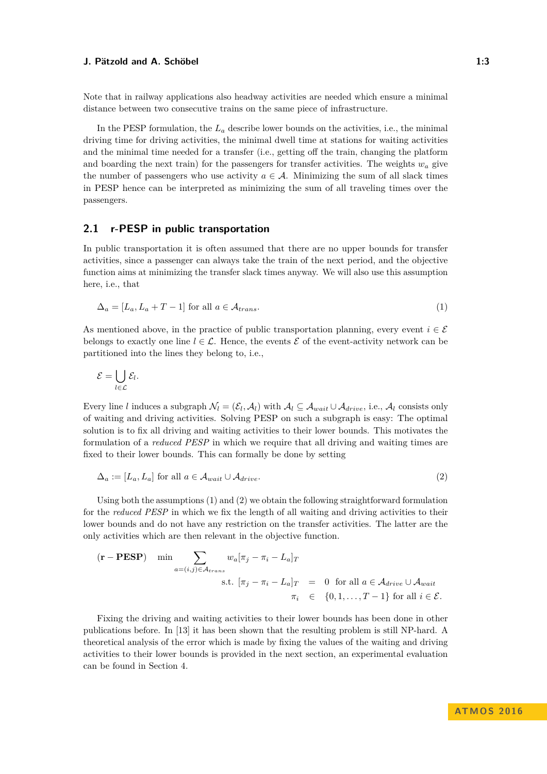Note that in railway applications also headway activities are needed which ensure a minimal distance between two consecutive trains on the same piece of infrastructure.

In the PESP formulation, the *L<sup>a</sup>* describe lower bounds on the activities, i.e., the minimal driving time for driving activities, the minimal dwell time at stations for waiting activities and the minimal time needed for a transfer (i.e., getting off the train, changing the platform and boarding the next train) for the passengers for transfer activities. The weights  $w_a$  give the number of passengers who use activity  $a \in \mathcal{A}$ . Minimizing the sum of all slack times in PESP hence can be interpreted as minimizing the sum of all traveling times over the passengers.

## **2.1 r-PESP in public transportation**

In public transportation it is often assumed that there are no upper bounds for transfer activities, since a passenger can always take the train of the next period, and the objective function aims at minimizing the transfer slack times anyway. We will also use this assumption here, i.e., that

<span id="page-2-0"></span>
$$
\Delta_a = [L_a, L_a + T - 1] \text{ for all } a \in \mathcal{A}_{trans}.
$$
\n
$$
(1)
$$

As mentioned above, in the practice of public transportation planning, every event  $i \in \mathcal{E}$ belongs to exactly one line  $l \in \mathcal{L}$ . Hence, the events  $\mathcal{E}$  of the event-activity network can be partitioned into the lines they belong to, i.e.,

$$
\mathcal{E} = \bigcup_{l \in \mathcal{L}} \mathcal{E}_l.
$$

Every line *l* induces a subgraph  $\mathcal{N}_l = (\mathcal{E}_l, \mathcal{A}_l)$  with  $\mathcal{A}_l \subseteq \mathcal{A}_{wait} \cup \mathcal{A}_{drive}$ , i.e.,  $\mathcal{A}_l$  consists only of waiting and driving activities. Solving PESP on such a subgraph is easy: The optimal solution is to fix all driving and waiting activities to their lower bounds. This motivates the formulation of a *reduced PESP* in which we require that all driving and waiting times are fixed to their lower bounds. This can formally be done by setting

<span id="page-2-1"></span>
$$
\Delta_a := [L_a, L_a] \text{ for all } a \in \mathcal{A}_{wait} \cup \mathcal{A}_{drive}.
$$
\n
$$
(2)
$$

Using both the assumptions [\(1\)](#page-2-0) and [\(2\)](#page-2-1) we obtain the following straightforward formulation for the *reduced PESP* in which we fix the length of all waiting and driving activities to their lower bounds and do not have any restriction on the transfer activities. The latter are the only activities which are then relevant in the objective function.

$$
\begin{aligned}\n(\mathbf{r} - \mathbf{PESP}) \quad \min \sum_{a=(i,j)\in \mathcal{A}_{trans}} w_a[\pi_j - \pi_i - L_a]_T \\
\text{s.t. } [\pi_j - \pi_i - L_a]_T &= 0 \quad \text{for all } a \in \mathcal{A}_{drive} \cup \mathcal{A}_{wait} \\
\pi_i &\in \{0, 1, \dots, T-1\} \text{ for all } i \in \mathcal{E}.\n\end{aligned}
$$

Fixing the driving and waiting activities to their lower bounds has been done in other publications before. In [\[13\]](#page-13-8) it has been shown that the resulting problem is still NP-hard. A theoretical analysis of the error which is made by fixing the values of the waiting and driving activities to their lower bounds is provided in the next section, an experimental evaluation can be found in Section [4.](#page-10-0)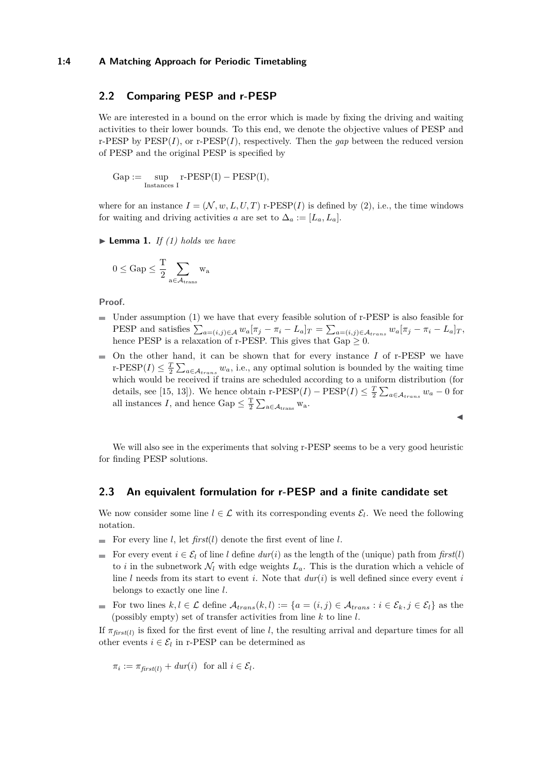## **1:4 A Matching Approach for Periodic Timetabling**

## **2.2 Comparing PESP and r-PESP**

We are interested in a bound on the error which is made by fixing the driving and waiting activities to their lower bounds. To this end, we denote the objective values of PESP and r-PESP by  $\text{PESP}(I)$ , or  $\text{r-PESP}(I)$ , respectively. Then the *gap* between the reduced version of PESP and the original PESP is specified by

$$
\mathrm{Gap} := \sup_{\mathrm{Instantoes}\ I} \mathrm{r\text{-}PESP}(I) - \mathrm{PESP}(I),
$$

where for an instance  $I = (\mathcal{N}, w, L, U, T)$  r-PESP(*I*) is defined by [\(2\)](#page-2-1), i.e., the time windows for waiting and driving activities *a* are set to  $\Delta_a := [L_a, L_a].$ 

 $\blacktriangleright$  **Lemma 1.** *If [\(1\)](#page-2-0) holds we have* 

$$
0 \leq Gap \leq \frac{T}{2}\sum_{a\in\mathcal{A}_{\rm trans}}w_a
$$

**Proof.**

- $\blacksquare$  Under assumption [\(1\)](#page-2-0) we have that every feasible solution of r-PESP is also feasible for PESP and satisfies  $\sum_{a=(i,j)\in\mathcal{A}} w_a[\pi_j-\pi_i-L_a]_T = \sum_{a=(i,j)\in\mathcal{A}_{trans}} w_a[\pi_j-\pi_i-L_a]_T$ hence PESP is a relaxation of r-PESP. This gives that  $Gap \geq 0$ .
- $\blacksquare$  On the other hand, it can be shown that for every instance *I* of r-PESP we have r-PESP(*I*)  $\leq \frac{T}{2} \sum_{a \in A_{trans}} w_a$ , i.e., any optimal solution is bounded by the waiting time which would be received if trains are scheduled according to a uniform distribution (for details, see [\[15,](#page-13-9) [13\]](#page-13-8)). We hence obtain r-PESP(*I*) – PESP(*I*)  $\leq \frac{T}{2} \sum_{a \in A_{trans}} w_a - 0$  for all instances *I*, and hence Gap  $\leq \frac{T}{2} \sum_{a \in A_{trans}} w_a$ .

We will also see in the experiments that solving r-PESP seems to be a very good heuristic for finding PESP solutions.

J

## **2.3 An equivalent formulation for r-PESP and a finite candidate set**

We now consider some line  $l \in \mathcal{L}$  with its corresponding events  $\mathcal{E}_l$ . We need the following notation.

- For every line  $l$ , let  $\text{first}(l)$  denote the first event of line  $l$ .
- For every event  $i \in \mathcal{E}_l$  of line *l* define  $dur(i)$  as the length of the (unique) path from  $first(l)$ to *i* in the subnetwork  $\mathcal{N}_l$  with edge weights  $L_a$ . This is the duration which a vehicle of line  $l$  needs from its start to event  $i$ . Note that  $dur(i)$  is well defined since every event  $i$ belongs to exactly one line *l*.
- For two lines  $k, l \in \mathcal{L}$  define  $\mathcal{A}_{trans}(k, l) := \{a = (i, j) \in \mathcal{A}_{trans} : i \in \mathcal{E}_k, j \in \mathcal{E}_l\}$  as the (possibly empty) set of transfer activities from line *k* to line *l*.

If  $\pi_{first(l)}$  is fixed for the first event of line *l*, the resulting arrival and departure times for all other events  $i \in \mathcal{E}_l$  in r-PESP can be determined as

$$
\pi_i := \pi_{first(l)} + dur(i) \text{ for all } i \in \mathcal{E}_l.
$$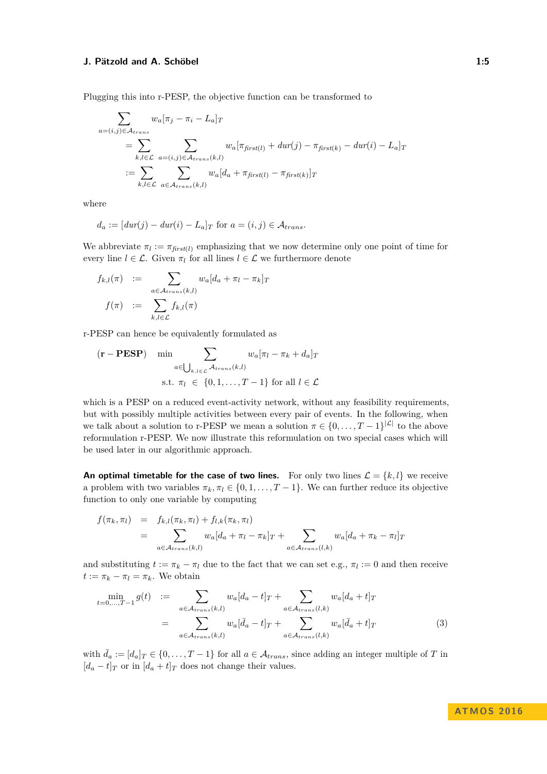Plugging this into r-PESP, the objective function can be transformed to

$$
\sum_{a=(i,j)\in\mathcal{A}_{trans}} w_a[\pi_j - \pi_i - L_a]_T
$$
\n
$$
= \sum_{k,l\in\mathcal{L}} \sum_{a=(i,j)\in\mathcal{A}_{trans}(k,l)} w_a[\pi_{first(l)} + dur(j) - \pi_{first(k)} - dur(i) - L_a]_T
$$
\n
$$
:= \sum_{k,l\in\mathcal{L}} \sum_{a\in\mathcal{A}_{trans}(k,l)} w_a[d_a + \pi_{first(l)} - \pi_{first(k)}]_T
$$

where

$$
d_a := [dur(j) - dur(i) - L_a]_T \text{ for } a = (i, j) \in \mathcal{A}_{trans}.
$$

We abbreviate  $\pi_l := \pi_{first(l)}$  emphasizing that we now determine only one point of time for every line  $l \in \mathcal{L}$ . Given  $\pi_l$  for all lines  $l \in \mathcal{L}$  we furthermore denote

$$
f_{k,l}(\pi) := \sum_{a \in \mathcal{A}_{trans}(k,l)} w_a [d_a + \pi_l - \pi_k]_T
$$

$$
f(\pi) := \sum_{k,l \in \mathcal{L}} f_{k,l}(\pi)
$$

r-PESP can hence be equivalently formulated as

$$
(\mathbf{r} - \mathbf{PESP}) \quad \min_{a \in \bigcup_{k,l \in \mathcal{L}} \mathcal{A}_{trans}(k,l)} w_a[\pi_l - \pi_k + d_a]_T
$$
  
s.t.  $\pi_l \in \{0, 1, ..., T - 1\}$  for all  $l \in \mathcal{L}$ 

which is a PESP on a reduced event-activity network, without any feasibility requirements, but with possibly multiple activities between every pair of events. In the following, when we talk about a solution to r-PESP we mean a solution  $\pi \in \{0, \ldots, T-1\}^{|{\mathcal{L}}|}$  to the above reformulation r-PESP. We now illustrate this reformulation on two special cases which will be used later in our algorithmic approach.

**An optimal timetable for the case of two lines.** For only two lines  $\mathcal{L} = \{k, l\}$  we receive a problem with two variables  $\pi_k, \pi_l \in \{0, 1, \ldots, T-1\}$ . We can further reduce its objective function to only one variable by computing

$$
f(\pi_k, \pi_l) = f_{k,l}(\pi_k, \pi_l) + f_{l,k}(\pi_k, \pi_l)
$$
  
= 
$$
\sum_{a \in \mathcal{A}_{trans}(k,l)} w_a[d_a + \pi_l - \pi_k]_T + \sum_{a \in \mathcal{A}_{trans}(l,k)} w_a[d_a + \pi_k - \pi_l]_T
$$

and substituting  $t := \pi_k - \pi_l$  due to the fact that we can set e.g.,  $\pi_l := 0$  and then receive  $t := \pi_k - \pi_l = \pi_k$ . We obtain

<span id="page-4-0"></span>
$$
\min_{t=0,\dots,T-1} g(t) := \sum_{a \in \mathcal{A}_{trans}(k,l)} w_a[d_a - t]_T + \sum_{a \in \mathcal{A}_{trans}(l,k)} w_a[d_a + t]_T
$$
\n
$$
= \sum_{a \in \mathcal{A}_{trans}(k,l)} w_a[\bar{d}_a - t]_T + \sum_{a \in \mathcal{A}_{trans}(l,k)} w_a[\bar{d}_a + t]_T
$$
\n(3)

with  $\bar{d}_a := [d_a]_T \in \{0, \ldots, T-1\}$  for all  $a \in \mathcal{A}_{trans}$ , since adding an integer multiple of *T* in  $[d_a - t]_T$  or in  $[d_a + t]_T$  does not change their values.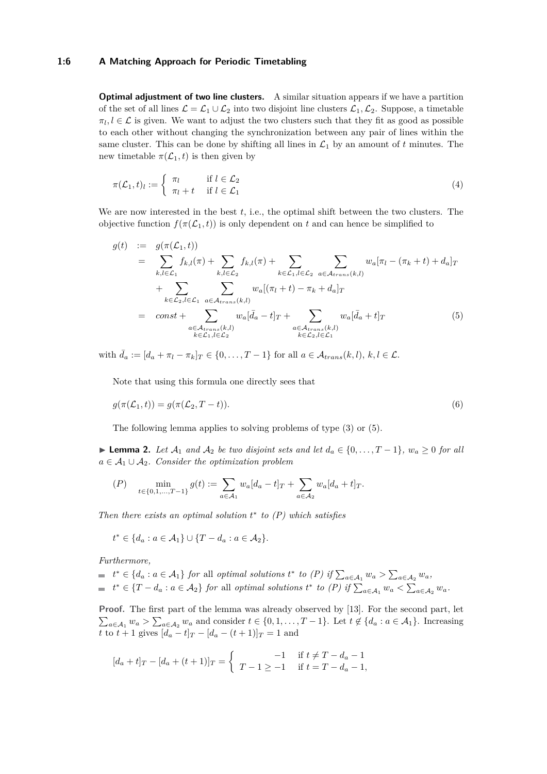#### **1:6 A Matching Approach for Periodic Timetabling**

**Optimal adjustment of two line clusters.** A similar situation appears if we have a partition of the set of all lines  $\mathcal{L} = \mathcal{L}_1 \cup \mathcal{L}_2$  into two disjoint line clusters  $\mathcal{L}_1, \mathcal{L}_2$ . Suppose, a timetable  $\pi_l, l \in \mathcal{L}$  is given. We want to adjust the two clusters such that they fit as good as possible to each other without changing the synchronization between any pair of lines within the same cluster. This can be done by shifting all lines in  $\mathcal{L}_1$  by an amount of  $t$  minutes. The new timetable  $\pi(\mathcal{L}_1, t)$  is then given by

<span id="page-5-2"></span>
$$
\pi(\mathcal{L}_1, t)_l := \begin{cases} \pi_l & \text{if } l \in \mathcal{L}_2 \\ \pi_l + t & \text{if } l \in \mathcal{L}_1 \end{cases}
$$
\n(4)

We are now interested in the best *t*, i.e., the optimal shift between the two clusters. The objective function  $f(\pi(\mathcal{L}_1, t))$  is only dependent on t and can hence be simplified to

<span id="page-5-0"></span>
$$
g(t) := g(\pi(\mathcal{L}_1, t))
$$
  
\n
$$
= \sum_{k,l \in \mathcal{L}_1} f_{k,l}(\pi) + \sum_{k,l \in \mathcal{L}_2} f_{k,l}(\pi) + \sum_{k \in \mathcal{L}_1, l \in \mathcal{L}_2} \sum_{a \in \mathcal{A}_{trans}(k,l)} w_a[\pi_l - (\pi_k + t) + d_a]_T
$$
  
\n
$$
+ \sum_{k \in \mathcal{L}_2, l \in \mathcal{L}_1} \sum_{a \in \mathcal{A}_{trans}(k,l)} w_a[(\pi_l + t) - \pi_k + d_a]_T
$$
  
\n
$$
= const + \sum_{\substack{a \in \mathcal{A}_{trans}(k,l) \\ k \in \mathcal{L}_1, l \in \mathcal{L}_2}} w_a[\bar{d}_a - t]_T + \sum_{\substack{a \in \mathcal{A}_{trans}(k,l) \\ k \in \mathcal{L}_2, l \in \mathcal{L}_1}} w_a[\bar{d}_a + t]_T
$$
(5)

with  $\bar{d}_a := [d_a + \pi_l - \pi_k]_T \in \{0, \ldots, T-1\}$  for all  $a \in \mathcal{A}_{trans}(k, l), k, l \in \mathcal{L}$ .

<span id="page-5-3"></span>Note that using this formula one directly sees that

$$
g(\pi(\mathcal{L}_1, t)) = g(\pi(\mathcal{L}_2, T - t)).
$$
\n<sup>(6)</sup>

The following lemma applies to solving problems of type [\(3\)](#page-4-0) or [\(5\)](#page-5-0).

<span id="page-5-1"></span>► **Lemma 2.** Let  $A_1$  and  $A_2$  be two disjoint sets and let  $d_a \in \{0, ..., T-1\}$ ,  $w_a \ge 0$  for all  $a \in \mathcal{A}_1 \cup \mathcal{A}_2$ *. Consider the optimization problem* 

$$
(P) \quad \min_{t \in \{0, 1, \dots, T-1\}} g(t) := \sum_{a \in \mathcal{A}_1} w_a [d_a - t]_T + \sum_{a \in \mathcal{A}_2} w_a [d_a + t]_T.
$$

*Then there exists an optimal solution t* ∗ *to (P) which satisfies*

*t*<sup>\*</sup> ∈ {*d<sub>a</sub>* : *a* ∈ *A*<sub>1</sub>} ∪ {*T* − *d<sub>a</sub>* : *a* ∈ *A*<sub>2</sub>}.

*Furthermore,*

$$
t^* \in \{d_a : a \in \mathcal{A}_1\} \text{ for all optimal solutions } t^* \text{ to } (P) \text{ if } \sum_{a \in \mathcal{A}_1} w_a > \sum_{a \in \mathcal{A}_2} w_a,
$$
  

$$
t^* \in \{T - d_a : a \in \mathcal{A}_2\} \text{ for all optimal solutions } t^* \text{ to } (P) \text{ if } \sum_{a \in \mathcal{A}_1} w_a < \sum_{a \in \mathcal{A}_2} w_a.
$$

Proof. The first part of the lemma was already observed by [\[13\]](#page-13-8). For the second part, let  $\sum_{a \in A_1} w_a > \sum_{a \in A_2} w_a$  and consider  $t \in \{0, 1, \ldots, T-1\}$ . Let  $t \notin \{d_a : a \in A_1\}$ . Increasing *t* to  $t + 1$  gives  $[d_a - t]_T - [d_a - (t + 1)]_T = 1$  and

$$
[d_a + t]_T - [d_a + (t+1)]_T = \begin{cases} -1 & \text{if } t \neq T - d_a - 1 \\ T - 1 \geq -1 & \text{if } t = T - d_a - 1, \end{cases}
$$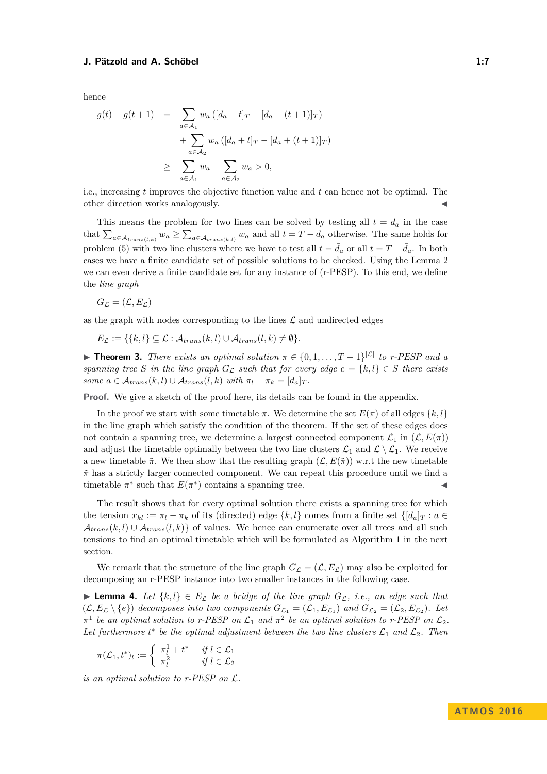hence

$$
g(t) - g(t+1) = \sum_{a \in A_1} w_a ([d_a - t]_T - [d_a - (t+1)]_T)
$$
  
+ 
$$
\sum_{a \in A_2} w_a ([d_a + t]_T - [d_a + (t+1)]_T)
$$
  

$$
\geq \sum_{a \in A_1} w_a - \sum_{a \in A_2} w_a > 0,
$$

i.e., increasing *t* improves the objective function value and *t* can hence not be optimal. The other direction works analogously.

This means the problem for two lines can be solved by testing all  $t = d_a$  in the case that  $\sum_{a \in \mathcal{A}_{trans(l,k)}} w_a \ge \sum_{a \in \mathcal{A}_{trans(k,l)}} w_a$  and all  $t = T - d_a$  otherwise. The same holds for problem [\(5\)](#page-5-0) with two line clusters where we have to test all  $t = \bar{d}_a$  or all  $t = T - \bar{d}_a$ . In both cases we have a finite candidate set of possible solutions to be checked. Using the Lemma [2](#page-5-1) we can even derive a finite candidate set for any instance of (r-PESP). To this end, we define the *line graph*

$$
G_{\mathcal{L}} = (\mathcal{L}, E_{\mathcal{L}})
$$

as the graph with nodes corresponding to the lines  $\mathcal L$  and undirected edges

$$
E_{\mathcal{L}} := \{ \{k, l\} \subseteq \mathcal{L} : \mathcal{A}_{trans}(k, l) \cup \mathcal{A}_{trans}(l, k) \neq \emptyset \}.
$$

<span id="page-6-0"></span>**► Theorem 3.** *There exists an optimal solution*  $\pi \in \{0, 1, \ldots, T-1\}^{|{\mathcal{L}}|}$  *to r-PESP and a spanning tree S in the line graph*  $G<sub>C</sub>$  *such that for every edge*  $e = \{k, l\} \in S$  *there exists some*  $a \in \mathcal{A}_{trans}(k, l) \cup \mathcal{A}_{trans}(l, k)$  *with*  $\pi_l - \pi_k = [d_a]_T$ .

**Proof.** We give a sketch of the proof here, its details can be found in the appendix.

In the proof we start with some timetable  $\pi$ . We determine the set  $E(\pi)$  of all edges  $\{k, l\}$ in the line graph which satisfy the condition of the theorem. If the set of these edges does not contain a spanning tree, we determine a largest connected component  $\mathcal{L}_1$  in  $(\mathcal{L}, E(\pi))$ and adjust the timetable optimally between the two line clusters  $\mathcal{L}_1$  and  $\mathcal{L} \setminus \mathcal{L}_1$ . We receive a new timetable  $\tilde{\pi}$ . We then show that the resulting graph  $(\mathcal{L}, E(\tilde{\pi}))$  w.r.t the new timetable *π*˜ has a strictly larger connected component. We can repeat this procedure until we find a timetable  $\pi^*$  such that  $E(\pi^*)$  contains a spanning tree.

The result shows that for every optimal solution there exists a spanning tree for which the tension  $x_{kl} := \pi_l - \pi_k$  of its (directed) edge  $\{k, l\}$  comes from a finite set  $\{[d_a]_T : a \in$  $\mathcal{A}_{trans}(k, l) \cup \mathcal{A}_{trans}(l, k)$  of values. We hence can enumerate over all trees and all such tensions to find an optimal timetable which will be formulated as Algorithm 1 in the next section.

We remark that the structure of the line graph  $G_{\mathcal{L}} = (\mathcal{L}, E_{\mathcal{L}})$  may also be exploited for decomposing an r-PESP instance into two smaller instances in the following case.

**Lemma 4.** Let  $\{\bar{k}, \bar{l}\} \in E_{\mathcal{L}}$  be a bridge of the line graph  $G_{\mathcal{L}}$ , i.e., an edge such that  $(\mathcal{L}, E_{\mathcal{L}} \setminus \{e\})$  decomposes into two components  $G_{\mathcal{L}_1} = (\mathcal{L}_1, E_{\mathcal{L}_1})$  and  $G_{\mathcal{L}_2} = (\mathcal{L}_2, E_{\mathcal{L}_2})$ . Let  $\pi^1$  be an optimal solution to r-PESP on  $\mathcal{L}_1$  and  $\pi^2$  be an optimal solution to r-PESP on  $\mathcal{L}_2$ . Let furthermore  $t^*$  be the optimal adjustment between the two line clusters  $\mathcal{L}_1$  and  $\mathcal{L}_2$ . Then

$$
\pi(\mathcal{L}_1, t^*)_l := \begin{cases} \pi_l^1 + t^* & \text{if } l \in \mathcal{L}_1 \\ \pi_l^2 & \text{if } l \in \mathcal{L}_2 \end{cases}
$$

*is an optimal solution to r-PESP on* L*.*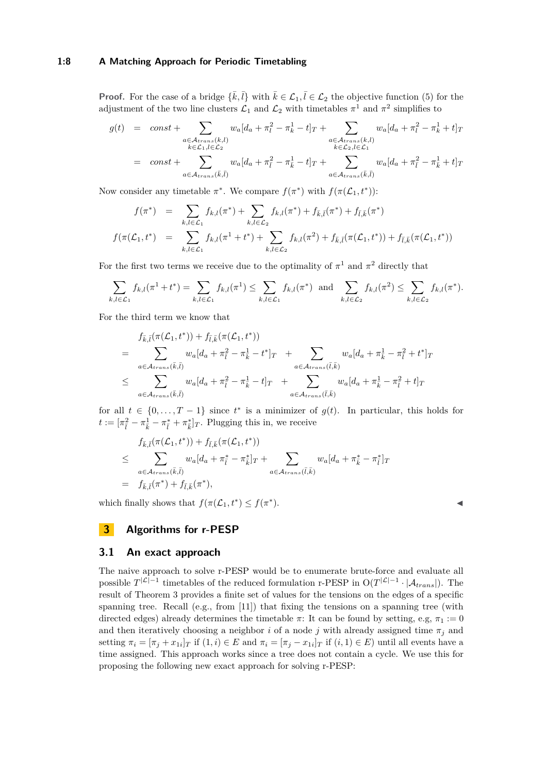## **1:8 A Matching Approach for Periodic Timetabling**

**Proof.** For the case of a bridge  $\{\bar{k}, \bar{l}\}$  with  $\bar{k} \in \mathcal{L}_1, \bar{l} \in \mathcal{L}_2$  the objective function [\(5\)](#page-5-0) for the adjustment of the two line clusters  $\mathcal{L}_1$  and  $\mathcal{L}_2$  with timetables  $\pi^1$  and  $\pi^2$  simplifies to

$$
g(t) = const + \sum_{\substack{a \in \mathcal{A}_{trans}(k,l) \\ k \in \mathcal{L}_1, l \in \mathcal{L}_2}} w_a [d_a + \pi_l^2 - \pi_k^1 - t]_T + \sum_{\substack{a \in \mathcal{A}_{trans}(k,l) \\ k \in \mathcal{L}_2, l \in \mathcal{L}_1}} w_a [d_a + \pi_l^2 - \pi_k^1 + t]_T
$$
  
= const + 
$$
\sum_{a \in \mathcal{A}_{trans}(\bar{k},\bar{l})} w_a [d_a + \pi_{\bar{l}}^2 - \pi_{\bar{k}}^1 - t]_T + \sum_{a \in \mathcal{A}_{trans}(\bar{k},\bar{l})} w_a [d_a + \pi_{\bar{l}}^2 - \pi_{\bar{k}}^1 + t]_T
$$

Now consider any timetable  $\pi^*$ . We compare  $f(\pi^*)$  with  $f(\pi(\mathcal{L}_1, t^*))$ :

$$
f(\pi^*) = \sum_{k,l \in \mathcal{L}_1} f_{k,l}(\pi^*) + \sum_{k,l \in \mathcal{L}_2} f_{k,l}(\pi^*) + f_{\bar{k},\bar{l}}(\pi^*) + f_{\bar{l},\bar{k}}(\pi^*)
$$
  

$$
f(\pi(\mathcal{L}_1, t^*) = \sum_{k,l \in \mathcal{L}_1} f_{k,l}(\pi^1 + t^*) + \sum_{k,l \in \mathcal{L}_2} f_{k,l}(\pi^2) + f_{\bar{k},\bar{l}}(\pi(\mathcal{L}_1, t^*)) + f_{\bar{l},\bar{k}}(\pi(\mathcal{L}_1, t^*))
$$

For the first two terms we receive due to the optimality of  $\pi^1$  and  $\pi^2$  directly that

$$
\sum_{k,l\in\mathcal{L}_1} f_{k,l}(\pi^1+t^*) = \sum_{k,l\in\mathcal{L}_1} f_{k,l}(\pi^1) \leq \sum_{k,l\in\mathcal{L}_1} f_{k,l}(\pi^*) \text{ and } \sum_{k,l\in\mathcal{L}_2} f_{k,l}(\pi^2) \leq \sum_{k,l\in\mathcal{L}_2} f_{k,l}(\pi^*).
$$

For the third term we know that

$$
f_{\bar{k},\bar{l}}(\pi(\mathcal{L}_1, t^*)) + f_{\bar{l},\bar{k}}(\pi(\mathcal{L}_1, t^*))
$$
  
= 
$$
\sum_{a \in \mathcal{A}_{trans}(\bar{k},\bar{l})} w_a[d_a + \pi_{\bar{l}}^2 - \pi_{\bar{k}}^1 - t^*]_T + \sum_{a \in \mathcal{A}_{trans}(\bar{l},\bar{k})} w_a[d_a + \pi_{\bar{k}}^1 - \pi_{\bar{l}}^2 + t^*]_T
$$
  

$$
\leq \sum_{a \in \mathcal{A}_{trans}(\bar{k},\bar{l})} w_a[d_a + \pi_{\bar{l}}^2 - \pi_{\bar{k}}^1 - t]_T + \sum_{a \in \mathcal{A}_{trans}(\bar{l},\bar{k})} w_a[d_a + \pi_{\bar{k}}^1 - \pi_{\bar{l}}^2 + t]_T
$$

for all  $t \in \{0, \ldots, T-1\}$  since  $t^*$  is a minimizer of  $g(t)$ . In particular, this holds for  $t := [\pi_{\overline{l}}^2 - \pi_{\overline{k}}^1 - \pi_{\overline{l}}^* + \pi_{\overline{k}}^*]_T$ . Plugging this in, we receive

$$
f_{\bar{k},\bar{l}}(\pi(\mathcal{L}_1,t^*)) + f_{\bar{l},\bar{k}}(\pi(\mathcal{L}_1,t^*))
$$
  
\n
$$
\leq \sum_{a \in \mathcal{A}_{trans}(\bar{k},\bar{l})} w_a[d_a + \pi_{\bar{l}}^* - \pi_{\bar{k}}^*]_T + \sum_{a \in \mathcal{A}_{trans}(\bar{l},\bar{k})} w_a[d_a + \pi_{\bar{k}}^* - \pi_{\bar{l}}^*]_T
$$
  
\n
$$
= f_{\bar{k},\bar{l}}(\pi^*) + f_{\bar{l},\bar{k}}(\pi^*),
$$

which finally shows that  $f(\pi(\mathcal{L}_1, t^*) \leq f(\pi^*)$  $\blacksquare$ ).

$$
\overline{}
$$

## **3 Algorithms for r-PESP**

## **3.1 An exact approach**

The naive approach to solve r-PESP would be to enumerate brute-force and evaluate all possible  $T^{|{\cal L}|-1}$  timetables of the reduced formulation r-PESP in  $O(T^{|{\cal L}|-1} \cdot |A_{trans}|)$ . The result of Theorem [3](#page-6-0) provides a finite set of values for the tensions on the edges of a specific spanning tree. Recall (e.g., from [\[11\]](#page-13-4)) that fixing the tensions on a spanning tree (with directed edges) already determines the timetable  $\pi$ : It can be found by setting, e.g,  $\pi_1 := 0$ and then iteratively choosing a neighbor *i* of a node *j* with already assigned time  $\pi_j$  and setting  $\pi_i = [\pi_j + x_{1i}]_T$  if  $(1, i) \in E$  and  $\pi_i = [\pi_j - x_{1i}]_T$  if  $(i, 1) \in E$ ) until all events have a time assigned. This approach works since a tree does not contain a cycle. We use this for proposing the following new exact approach for solving r-PESP: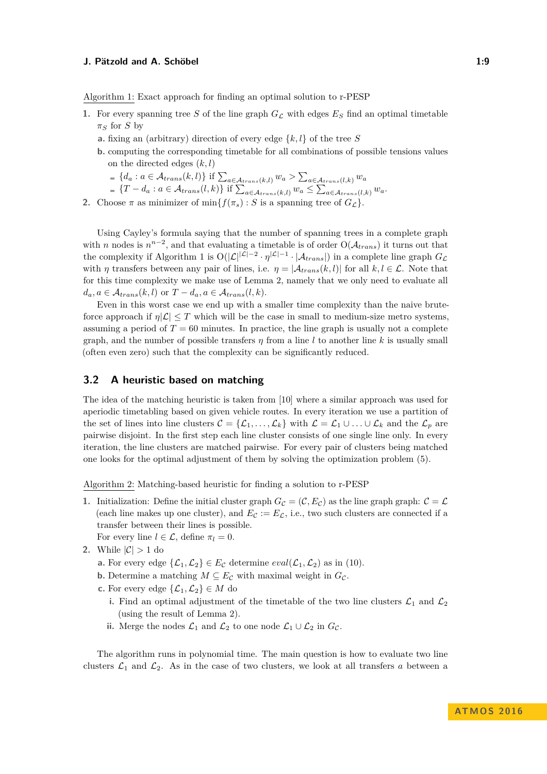Algorithm 1: Exact approach for finding an optimal solution to r-PESP

- **1.** For every spanning tree S of the line graph  $G_{\mathcal{L}}$  with edges  $E_S$  find an optimal timetable  $\pi_S$  for *S* by
	- **a.** fixing an (arbitrary) direction of every edge {*k, l*} of the tree *S*
	- **b.** computing the corresponding timetable for all combinations of possible tensions values on the directed edges (*k, l*)
		- ${d_a : a \in \mathcal{A}_{trans}(k, l)}$  if  $\sum_{a \in \mathcal{A}_{trans}(k, l)} w_a > \sum_{a \in \mathcal{A}_{trans}(l, k)} w_a$
		- $\{T d_a : a \in \mathcal{A}_{trans}(l,k)\}\$ if  $\sum_{a \in \mathcal{A}_{trans}(k,l)} w_a \leq \sum_{a \in \mathcal{A}_{trans}(l,k)} w_a$ .
- **2.** Choose  $\pi$  as minimizer of min $\{f(\pi_s): S$  is a spanning tree of  $G_{\mathcal{L}}\}$ .

Using Cayley's formula saying that the number of spanning trees in a complete graph with *n* nodes is  $n^{n-2}$ , and that evaluating a timetable is of order  $O(\mathcal{A}_{trans})$  it turns out that the complexity if Algorithm 1 is  $O(|\mathcal{L}|^{|\mathcal{L}|-2} \cdot \eta^{|\mathcal{L}|-1} \cdot |\mathcal{A}_{trans}|)$  in a complete line graph  $G_{\mathcal{L}}$ with *η* transfers between any pair of lines, i.e.  $\eta = |\mathcal{A}_{trans}(k, l)|$  for all  $k, l \in \mathcal{L}$ . Note that for this time complexity we make use of Lemma [2,](#page-5-1) namely that we only need to evaluate all  $d_a, a \in \mathcal{A}_{trans}(k, l)$  or  $T - d_a, a \in \mathcal{A}_{trans}(l, k)$ .

Even in this worst case we end up with a smaller time complexity than the naive bruteforce approach if  $\eta|\mathcal{L}| \leq T$  which will be the case in small to medium-size metro systems, assuming a period of  $T = 60$  minutes. In practice, the line graph is usually not a complete graph, and the number of possible transfers  $\eta$  from a line *l* to another line *k* is usually small (often even zero) such that the complexity can be significantly reduced.

## **3.2 A heuristic based on matching**

The idea of the matching heuristic is taken from [\[10\]](#page-13-10) where a similar approach was used for aperiodic timetabling based on given vehicle routes. In every iteration we use a partition of the set of lines into line clusters  $\mathcal{C} = {\mathcal{L}_1, \ldots, \mathcal{L}_k}$  with  $\mathcal{L} = \mathcal{L}_1 \cup \ldots \cup \mathcal{L}_k$  and the  $\mathcal{L}_p$  are pairwise disjoint. In the first step each line cluster consists of one single line only. In every iteration, the line clusters are matched pairwise. For every pair of clusters being matched one looks for the optimal adjustment of them by solving the optimization problem [\(5\)](#page-5-0).

Algorithm 2: Matching-based heuristic for finding a solution to r-PESP

- **1.** Initialization: Define the initial cluster graph  $G_{\mathcal{C}} = (\mathcal{C}, E_{\mathcal{C}})$  as the line graph graph:  $\mathcal{C} = \mathcal{L}$ (each line makes up one cluster), and  $E_c := E_c$ , i.e., two such clusters are connected if a transfer between their lines is possible.
	- For every line  $l \in \mathcal{L}$ , define  $\pi_l = 0$ .
- **2.** While  $|\mathcal{C}| > 1$  do
	- **a.** For every edge  $\{\mathcal{L}_1, \mathcal{L}_2\} \in E_{\mathcal{C}}$  determine  $eval(\mathcal{L}_1, \mathcal{L}_2)$  as in [\(10\)](#page-9-0).
	- **b.** Determine a matching  $M \subseteq E_{\mathcal{C}}$  with maximal weight in  $G_{\mathcal{C}}$ .
	- **c.** For every edge  $\{\mathcal{L}_1, \mathcal{L}_2\} \in M$  do
		- **i.** Find an optimal adjustment of the timetable of the two line clusters  $\mathcal{L}_1$  and  $\mathcal{L}_2$ (using the result of Lemma [2\)](#page-5-1).
		- **ii.** Merge the nodes  $\mathcal{L}_1$  and  $\mathcal{L}_2$  to one node  $\mathcal{L}_1 \cup \mathcal{L}_2$  in  $G_{\mathcal{C}}$ .

The algorithm runs in polynomial time. The main question is how to evaluate two line clusters  $\mathcal{L}_1$  and  $\mathcal{L}_2$ . As in the case of two clusters, we look at all transfers a between a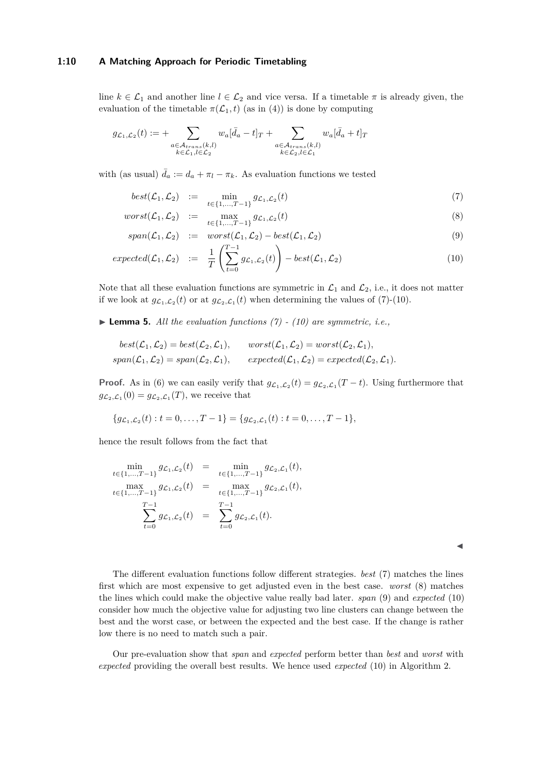## **1:10 A Matching Approach for Periodic Timetabling**

line  $k \in \mathcal{L}_1$  and another line  $l \in \mathcal{L}_2$  and vice versa. If a timetable  $\pi$  is already given, the evaluation of the timetable  $\pi(\mathcal{L}_1, t)$  (as in [\(4\)](#page-5-2)) is done by computing

$$
g_{\mathcal{L}_1,\mathcal{L}_2}(t) := + \sum_{\substack{a \in \mathcal{A}_{trans}(k,l) \\ k \in \mathcal{L}_1, l \in \mathcal{L}_2}} w_a [\bar{d}_a - t]_T + \sum_{\substack{a \in \mathcal{A}_{trans}(k,l) \\ k \in \mathcal{L}_2, l \in \mathcal{L}_1}} w_a [\bar{d}_a + t]_T
$$

with (as usual)  $\bar{d}_a := d_a + \pi_l - \pi_k$ . As evaluation functions we tested

<span id="page-9-0"></span>
$$
best(\mathcal{L}_1, \mathcal{L}_2) := \min_{t \in \{1, ..., T-1\}} g_{\mathcal{L}_1, \mathcal{L}_2}(t) \tag{7}
$$

$$
worst(\mathcal{L}_1, \mathcal{L}_2) := \max_{t \in \{1, \dots, T-1\}} g_{\mathcal{L}_1, \mathcal{L}_2}(t) \tag{8}
$$

$$
span(\mathcal{L}_1, \mathcal{L}_2) := worst(\mathcal{L}_1, \mathcal{L}_2) - best(\mathcal{L}_1, \mathcal{L}_2)
$$
\n(9)

$$
expected(\mathcal{L}_1, \mathcal{L}_2) := \frac{1}{T} \left( \sum_{t=0}^{T-1} g_{\mathcal{L}_1, \mathcal{L}_2}(t) \right) - best(\mathcal{L}_1, \mathcal{L}_2)
$$
\n(10)

Note that all these evaluation functions are symmetric in  $\mathcal{L}_1$  and  $\mathcal{L}_2$ , i.e., it does not matter if we look at  $g_{\mathcal{L}_1,\mathcal{L}_2}(t)$  or at  $g_{\mathcal{L}_2,\mathcal{L}_1}(t)$  when determining the values of [\(7\)](#page-9-0)-[\(10\)](#page-9-0).

 $\blacktriangleright$  **Lemma 5.** All the evaluation functions [\(7\)](#page-9-0) - [\(10\)](#page-9-0) are symmetric, i.e.,

$$
best(\mathcal{L}_1, \mathcal{L}_2) = best(\mathcal{L}_2, \mathcal{L}_1), \qquad worst(\mathcal{L}_1, \mathcal{L}_2) = worst(\mathcal{L}_2, \mathcal{L}_1),
$$
  
\n
$$
span(\mathcal{L}_1, \mathcal{L}_2) = span(\mathcal{L}_2, \mathcal{L}_1), \qquad expected(\mathcal{L}_1, \mathcal{L}_2) = expected(\mathcal{L}_2, \mathcal{L}_1).
$$

**Proof.** As in [\(6\)](#page-5-3) we can easily verify that  $g_{\mathcal{L}_1,\mathcal{L}_2}(t) = g_{\mathcal{L}_2,\mathcal{L}_1}(T-t)$ . Using furthermore that  $g_{\mathcal{L}_2, \mathcal{L}_1}(0) = g_{\mathcal{L}_2, \mathcal{L}_1}(T)$ , we receive that

$$
\{g_{\mathcal{L}_1,\mathcal{L}_2}(t): t = 0,\ldots,T-1\} = \{g_{\mathcal{L}_2,\mathcal{L}_1}(t): t = 0,\ldots,T-1\},\
$$

hence the result follows from the fact that

$$
\min_{t \in \{1, ..., T-1\}} g_{\mathcal{L}_1, \mathcal{L}_2}(t) = \min_{t \in \{1, ..., T-1\}} g_{\mathcal{L}_2, \mathcal{L}_1}(t),
$$
\n
$$
\max_{t \in \{1, ..., T-1\}} g_{\mathcal{L}_1, \mathcal{L}_2}(t) = \max_{t \in \{1, ..., T-1\}} g_{\mathcal{L}_2, \mathcal{L}_1}(t),
$$
\n
$$
\sum_{t=0}^{T-1} g_{\mathcal{L}_1, \mathcal{L}_2}(t) = \sum_{t=0}^{T-1} g_{\mathcal{L}_2, \mathcal{L}_1}(t).
$$

 $\blacktriangleleft$ 

The different evaluation functions follow different strategies. *best* [\(7\)](#page-9-0) matches the lines first which are most expensive to get adjusted even in the best case. *worst* [\(8\)](#page-9-0) matches the lines which could make the objective value really bad later. *span* [\(9\)](#page-9-0) and *expected* [\(10\)](#page-9-0) consider how much the objective value for adjusting two line clusters can change between the best and the worst case, or between the expected and the best case. If the change is rather low there is no need to match such a pair.

Our pre-evaluation show that *span* and *expected* perform better than *best* and *worst* with *expected* providing the overall best results. We hence used *expected* [\(10\)](#page-9-0) in Algorithm 2.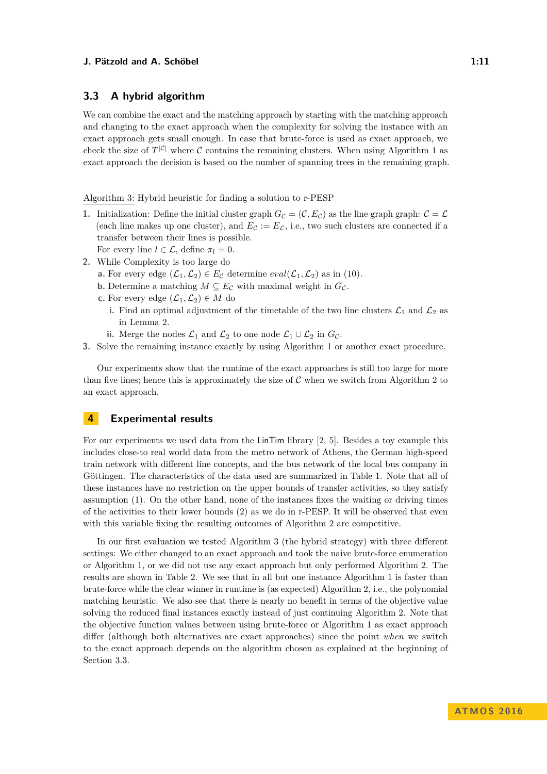## <span id="page-10-1"></span>**3.3 A hybrid algorithm**

We can combine the exact and the matching approach by starting with the matching approach and changing to the exact approach when the complexity for solving the instance with an exact approach gets small enough. In case that brute-force is used as exact approach, we check the size of  $T^{|\mathcal{C}|}$  where  $\mathcal C$  contains the remaining clusters. When using Algorithm 1 as exact approach the decision is based on the number of spanning trees in the remaining graph.

Algorithm 3: Hybrid heuristic for finding a solution to r-PESP

- **1.** Initialization: Define the initial cluster graph  $G_{\mathcal{C}} = (\mathcal{C}, E_{\mathcal{C}})$  as the line graph graph:  $\mathcal{C} = \mathcal{L}$ (each line makes up one cluster), and  $E_c := E_c$ , i.e., two such clusters are connected if a transfer between their lines is possible. For every line  $l \in \mathcal{L}$ , define  $\pi_l = 0$ .
- **2.** While Complexity is too large do
	- **a.** For every edge  $(\mathcal{L}_1, \mathcal{L}_2) \in E_{\mathcal{C}}$  determine  $eval(\mathcal{L}_1, \mathcal{L}_2)$  as in [\(10\)](#page-9-0).
	- **b.** Determine a matching  $M \subseteq E_{\mathcal{C}}$  with maximal weight in  $G_{\mathcal{C}}$ .
	- **c.** For every edge  $(\mathcal{L}_1, \mathcal{L}_2) \in M$  do
		- **i.** Find an optimal adjustment of the timetable of the two line clusters  $\mathcal{L}_1$  and  $\mathcal{L}_2$  as in Lemma [2.](#page-5-1)
		- **ii.** Merge the nodes  $\mathcal{L}_1$  and  $\mathcal{L}_2$  to one node  $\mathcal{L}_1 \cup \mathcal{L}_2$  in  $G_{\mathcal{C}}$ .
- **3.** Solve the remaining instance exactly by using Algorithm 1 or another exact procedure.

Our experiments show that the runtime of the exact approaches is still too large for more than five lines; hence this is approximately the size of  $\mathcal C$  when we switch from Algorithm 2 to an exact approach.

## <span id="page-10-0"></span>**4 Experimental results**

For our experiments we used data from the LinTim library [\[2,](#page-12-4) [5\]](#page-12-5). Besides a toy example this includes close-to real world data from the metro network of Athens, the German high-speed train network with different line concepts, and the bus network of the local bus company in Göttingen. The characteristics of the data used are summarized in Table [1.](#page-11-0) Note that all of these instances have no restriction on the upper bounds of transfer activities, so they satisfy assumption [\(1\)](#page-2-0). On the other hand, none of the instances fixes the waiting or driving times of the activities to their lower bounds [\(2\)](#page-2-1) as we do in r-PESP. It will be observed that even with this variable fixing the resulting outcomes of Algorithm 2 are competitive.

In our first evaluation we tested Algorithm 3 (the hybrid strategy) with three different settings: We either changed to an exact approach and took the naive brute-force enumeration or Algorithm 1, or we did not use any exact approach but only performed Algorithm 2. The results are shown in Table [2.](#page-11-1) We see that in all but one instance Algorithm 1 is faster than brute-force while the clear winner in runtime is (as expected) Algorithm 2, i.e., the polynomial matching heuristic. We also see that there is nearly no benefit in terms of the objective value solving the reduced final instances exactly instead of just continuing Algorithm 2. Note that the objective function values between using brute-force or Algorithm 1 as exact approach differ (although both alternatives are exact approaches) since the point *when* we switch to the exact approach depends on the algorithm chosen as explained at the beginning of Section [3.3.](#page-10-1)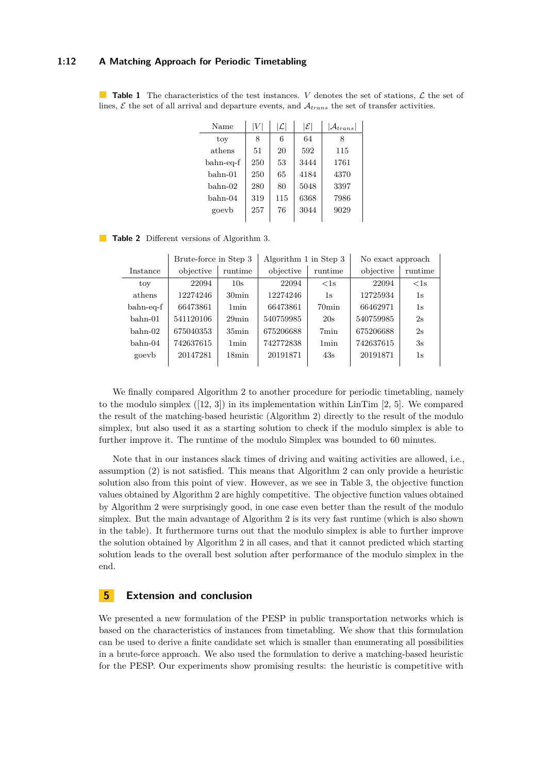## **1:12 A Matching Approach for Periodic Timetabling**

<span id="page-11-0"></span>**Table 1** The characteristics of the test instances. *V* denotes the set of stations,  $\mathcal{L}$  the set of lines,  $\mathcal E$  the set of all arrival and departure events, and  $\mathcal A_{trans}$  the set of transfer activities.

| Name      | V   | $ \mathcal{L} $ | $ \mathcal{E} $ | $\mathcal{A}_{trans}$ |
|-----------|-----|-----------------|-----------------|-----------------------|
| toy       | 8   | 6               | 64              | 8                     |
| athens    | 51  | 20              | 592             | 115                   |
| bahn-eq-f | 250 | 53              | 3444            | 1761                  |
| bahn-01   | 250 | 65              | 4184            | 4370                  |
| bahn-02   | 280 | 80              | 5048            | 3397                  |
| bahn-04   | 319 | 115             | 6368            | 7986                  |
| goevb     | 257 | 76              | 3044            | 9029                  |
|           |     |                 |                 |                       |

<span id="page-11-1"></span>**Table 2** Different versions of Algorithm 3.

|           | Brute-force in Step 3 |                  | Algorithm 1 in Step 3 |                   | No exact approach |         |
|-----------|-----------------------|------------------|-----------------------|-------------------|-------------------|---------|
| Instance  | objective             | runtime          | objective             | runtime           | objective         | runtime |
| toy       | 22094                 | 10s              | 22094                 | $<$ 1s            | 22094             | $<$ 1s  |
| athens    | 12274246              | $30\text{min}$   | 12274246              | 1s                | 12725934          | 1s      |
| bahn-eq-f | 66473861              | 1 <sub>min</sub> | 66473861              | 70 <sub>min</sub> | 66462971          | 1s      |
| $bahn-01$ | 541120106             | $29$ min         | 540759985             | 20s               | 540759985         | 2s      |
| $bahn-02$ | 675040353             | $35\text{min}$   | 675206688             | 7 <sub>min</sub>  | 675206688         | 2s      |
| $bahn-04$ | 742637615             | 1 <sub>min</sub> | 742772838             | 1 <sub>min</sub>  | 742637615         | 3s      |
| goevb     | 20147281              | $18\text{min}$   | 20191871              | 43s               | 20191871          | 1s      |
|           |                       |                  |                       |                   |                   |         |

We finally compared Algorithm 2 to another procedure for periodic timetabling, namely to the modulo simplex  $([12, 3])$  $([12, 3])$  $([12, 3])$  $([12, 3])$  $([12, 3])$  in its implementation within LinTim [\[2,](#page-12-4) [5\]](#page-12-5). We compared the result of the matching-based heuristic (Algorithm 2) directly to the result of the modulo simplex, but also used it as a starting solution to check if the modulo simplex is able to further improve it. The runtime of the modulo Simplex was bounded to 60 minutes.

Note that in our instances slack times of driving and waiting activities are allowed, i.e., assumption [\(2\)](#page-2-1) is not satisfied. This means that Algorithm 2 can only provide a heuristic solution also from this point of view. However, as we see in Table [3,](#page-12-6) the objective function values obtained by Algorithm 2 are highly competitive. The objective function values obtained by Algorithm 2 were surprisingly good, in one case even better than the result of the modulo simplex. But the main advantage of Algorithm 2 is its very fast runtime (which is also shown in the table). It furthermore turns out that the modulo simplex is able to further improve the solution obtained by Algorithm 2 in all cases, and that it cannot predicted which starting solution leads to the overall best solution after performance of the modulo simplex in the end.

## **5 Extension and conclusion**

We presented a new formulation of the PESP in public transportation networks which is based on the characteristics of instances from timetabling. We show that this formulation can be used to derive a finite candidate set which is smaller than enumerating all possibilities in a brute-force approach. We also used the formulation to derive a matching-based heuristic for the PESP. Our experiments show promising results: the heuristic is competitive with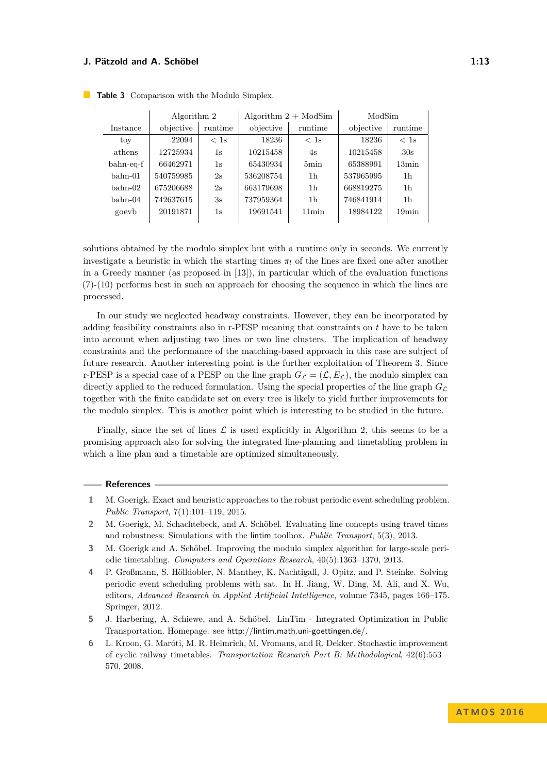|           | Algorithm 2 |         | Algorithm $2 + ModSim$ |          | ModSim    |                |
|-----------|-------------|---------|------------------------|----------|-----------|----------------|
| Instance  | objective   | runtime | objective              | runtime  | objective | runtime        |
| toy       | 22094       | < 1s    | 18236                  | < 1s     | 18236     | $<$ 1s         |
| athens    | 12725934    | 1s      | 10215458               | 4s       | 10215458  | 30s            |
| bahn-eq-f | 66462971    | 1s      | 65430934               | 5min     | 65388991  | $13\text{min}$ |
| $bahn-01$ | 540759985   | 2s      | 536208754              | 1h       | 537965995 | 1h             |
| $bahn-02$ | 675206688   | 2s      | 663179698              | 1h       | 668819275 | 1h             |
| $bahn-04$ | 742637615   | 3s      | 737959364              | 1h       | 746841914 | 1h             |
| goevb     | 20191871    | 1s      | 19691541               | $11$ min | 18984122  | 19min          |
|           |             |         |                        |          |           |                |

<span id="page-12-6"></span>**Table 3** Comparison with the Modulo Simplex.

solutions obtained by the modulo simplex but with a runtime only in seconds. We currently investigate a heuristic in which the starting times  $\pi_l$  of the lines are fixed one after another in a Greedy manner (as proposed in [\[13\]](#page-13-8)), in particular which of the evaluation functions [\(7\)](#page-9-0)-[\(10\)](#page-9-0) performs best in such an approach for choosing the sequence in which the lines are processed.

In our study we neglected headway constraints. However, they can be incorporated by adding feasibility constraints also in r-PESP meaning that constraints on *t* have to be taken into account when adjusting two lines or two line clusters. The implication of headway constraints and the performance of the matching-based approach in this case are subject of future research. Another interesting point is the further exploitation of Theorem [3.](#page-6-0) Since r-PESP is a special case of a PESP on the line graph  $G_{\mathcal{L}} = (\mathcal{L}, E_{\mathcal{L}})$ , the modulo simplex can directly applied to the reduced formulation. Using the special properties of the line graph  $G_{\mathcal{L}}$ together with the finite candidate set on every tree is likely to yield further improvements for the modulo simplex. This is another point which is interesting to be studied in the future.

Finally, since the set of lines  $\mathcal L$  is used explicitly in Algorithm 2, this seems to be a promising approach also for solving the integrated line-planning and timetabling problem in which a line plan and a timetable are optimized simultaneously.

#### **References**

- <span id="page-12-3"></span>**1** M. Goerigk. Exact and heuristic approaches to the robust periodic event scheduling problem. *Public Transport*, 7(1):101–119, 2015.
- <span id="page-12-4"></span>**2** M. Goerigk, M. Schachtebeck, and A. Schöbel. Evaluating line concepts using travel times and robustness: Simulations with the lintim toolbox. *Public Transport*, 5(3), 2013.
- <span id="page-12-0"></span>**3** M. Goerigk and A. Schöbel. Improving the modulo simplex algorithm for large-scale periodic timetabling. *Computers and Operations Research*, 40(5):1363–1370, 2013.
- <span id="page-12-1"></span>**4** P. Großmann, S. Hölldobler, N. Manthey, K. Nachtigall, J. Opitz, and P. Steinke. Solving periodic event scheduling problems with sat. In H. Jiang, W. Ding, M. Ali, and X. Wu, editors, *Advanced Research in Applied Artificial Intelligence*, volume 7345, pages 166–175. Springer, 2012.
- <span id="page-12-5"></span>**5** J. Harbering, A. Schiewe, and A. Schöbel. LinTim - Integrated Optimization in Public Transportation. Homepage. see http://lintim.math.uni-goettingen.de/.
- <span id="page-12-2"></span>**6** L. Kroon, G. Maróti, M. R. Helmrich, M. Vromans, and R. Dekker. Stochastic improvement of cyclic railway timetables. *Transportation Research Part B: Methodological*, 42(6):553 – 570, 2008.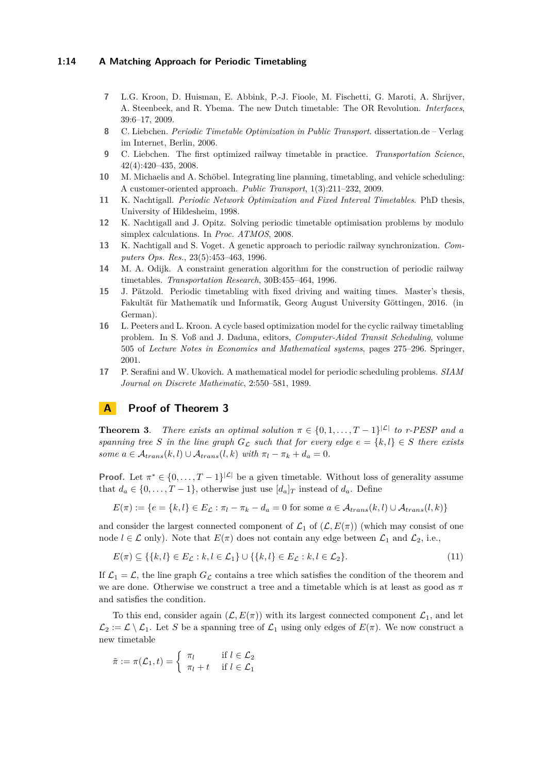## **1:14 A Matching Approach for Periodic Timetabling**

- <span id="page-13-1"></span>**7** L.G. Kroon, D. Huisman, E. Abbink, P.-J. Fioole, M. Fischetti, G. Maroti, A. Shrijver, A. Steenbeek, and R. Ybema. The new Dutch timetable: The OR Revolution. *Interfaces*, 39:6–17, 2009.
- <span id="page-13-6"></span>**8** C. Liebchen. *Periodic Timetable Optimization in Public Transport*. dissertation.de – Verlag im Internet, Berlin, 2006.
- <span id="page-13-2"></span>**9** C. Liebchen. The first optimized railway timetable in practice. *Transportation Science*, 42(4):420–435, 2008.
- <span id="page-13-10"></span>**10** M. Michaelis and A. Schöbel. Integrating line planning, timetabling, and vehicle scheduling: A customer-oriented approach. *Public Transport*, 1(3):211–232, 2009.
- <span id="page-13-4"></span>**11** K. Nachtigall. *Periodic Network Optimization and Fixed Interval Timetables*. PhD thesis, University of Hildesheim, 1998.
- <span id="page-13-7"></span>**12** K. Nachtigall and J. Opitz. Solving periodic timetable optimisation problems by modulo simplex calculations. In *Proc. ATMOS*, 2008.
- <span id="page-13-8"></span>**13** K. Nachtigall and S. Voget. A genetic approach to periodic railway synchronization. *Computers Ops. Res.*, 23(5):453–463, 1996.
- <span id="page-13-3"></span>**14** M. A. Odijk. A constraint generation algorithm for the construction of periodic railway timetables. *Transportation Research*, 30B:455–464, 1996.
- <span id="page-13-9"></span>**15** J. Pätzold. Periodic timetabling with fixed driving and waiting times. Master's thesis, Fakultät für Mathematik und Informatik, Georg August University Göttingen, 2016. (in German).
- <span id="page-13-5"></span>**16** L. Peeters and L. Kroon. A cycle based optimization model for the cyclic railway timetabling problem. In S. Voß and J. Daduna, editors, *Computer-Aided Transit Scheduling*, volume 505 of *Lecture Notes in Economics and Mathematical systems*, pages 275–296. Springer, 2001.
- <span id="page-13-0"></span>**17** P. Serafini and W. Ukovich. A mathematical model for periodic scheduling problems. *SIAM Journal on Discrete Mathematic*, 2:550–581, 1989.

## **A Proof of Theorem [3](#page-6-0)**

**Theorem [3](#page-6-0)**. *There exists an optimal solution*  $\pi \in \{0, 1, ..., T - 1\}^{\vert \mathcal{L} \vert}$  to r-PESP and a *spanning tree S in the line graph*  $G_{\mathcal{L}}$  *such that for every edge*  $e = \{k, l\} \in S$  *there exists some*  $a \in \mathcal{A}_{trans}(k, l) \cup \mathcal{A}_{trans}(l, k)$  *with*  $\pi_l - \pi_k + d_a = 0$ *.* 

**Proof.** Let  $\pi^* \in \{0, \ldots, T-1\}^{|{\mathcal{L}}|}$  be a given timetable. Without loss of generality assume that  $d_a \in \{0, \ldots, T-1\}$ , otherwise just use  $[d_a]_T$  instead of  $d_a$ . Define

$$
E(\pi) := \{ e = \{k, l\} \in E_{\mathcal{L}} : \pi_l - \pi_k - d_a = 0 \text{ for some } a \in \mathcal{A}_{trans}(k, l) \cup \mathcal{A}_{trans}(l, k) \}
$$

and consider the largest connected component of  $\mathcal{L}_1$  of  $(\mathcal{L}, E(\pi))$  (which may consist of one node  $l \in \mathcal{L}$  only). Note that  $E(\pi)$  does not contain any edge between  $\mathcal{L}_1$  and  $\mathcal{L}_2$ , i.e.,

<span id="page-13-11"></span>
$$
E(\pi) \subseteq \{ \{k, l\} \in E_{\mathcal{L}} : k, l \in \mathcal{L}_1 \} \cup \{ \{k, l\} \in E_{\mathcal{L}} : k, l \in \mathcal{L}_2 \}.
$$
\n(11)

If  $\mathcal{L}_1 = \mathcal{L}$ , the line graph  $G_{\mathcal{L}}$  contains a tree which satisfies the condition of the theorem and we are done. Otherwise we construct a tree and a timetable which is at least as good as *π* and satisfies the condition.

To this end, consider again  $(\mathcal{L}, E(\pi))$  with its largest connected component  $\mathcal{L}_1$ , and let  $\mathcal{L}_2 := \mathcal{L} \setminus \mathcal{L}_1$ . Let *S* be a spanning tree of  $\mathcal{L}_1$  using only edges of  $E(\pi)$ . We now construct a new timetable

$$
\tilde{\pi} := \pi(\mathcal{L}_1, t) = \begin{cases} \pi_l & \text{if } l \in \mathcal{L}_2 \\ \pi_l + t & \text{if } l \in \mathcal{L}_1 \end{cases}
$$